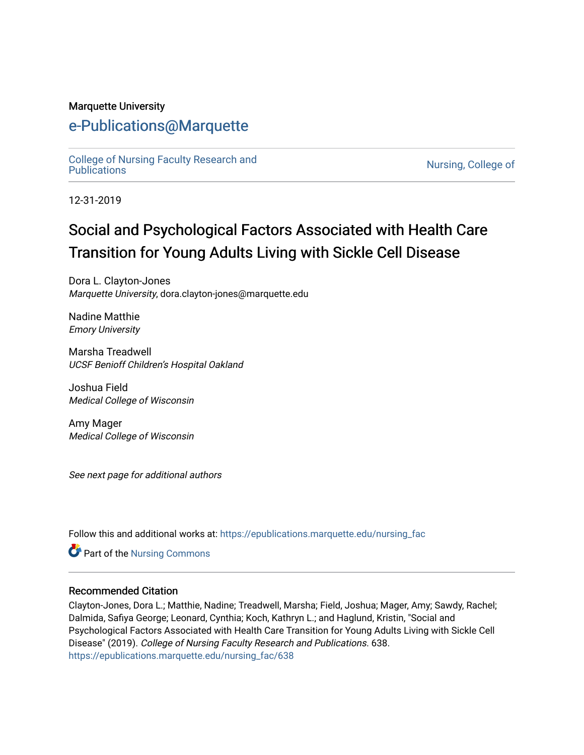#### Marquette University

### [e-Publications@Marquette](https://epublications.marquette.edu/)

[College of Nursing Faculty Research and](https://epublications.marquette.edu/nursing_fac)<br>Publications

Nursing, College of

12-31-2019

# Social and Psychological Factors Associated with Health Care Transition for Young Adults Living with Sickle Cell Disease

Dora L. Clayton-Jones Marquette University, dora.clayton-jones@marquette.edu

Nadine Matthie Emory University

Marsha Treadwell UCSF Benioff Children's Hospital Oakland

Joshua Field Medical College of Wisconsin

Amy Mager Medical College of Wisconsin

See next page for additional authors

Follow this and additional works at: [https://epublications.marquette.edu/nursing\\_fac](https://epublications.marquette.edu/nursing_fac?utm_source=epublications.marquette.edu%2Fnursing_fac%2F638&utm_medium=PDF&utm_campaign=PDFCoverPages)

Part of the [Nursing Commons](http://network.bepress.com/hgg/discipline/718?utm_source=epublications.marquette.edu%2Fnursing_fac%2F638&utm_medium=PDF&utm_campaign=PDFCoverPages) 

#### Recommended Citation

Clayton-Jones, Dora L.; Matthie, Nadine; Treadwell, Marsha; Field, Joshua; Mager, Amy; Sawdy, Rachel; Dalmida, Safiya George; Leonard, Cynthia; Koch, Kathryn L.; and Haglund, Kristin, "Social and Psychological Factors Associated with Health Care Transition for Young Adults Living with Sickle Cell Disease" (2019). College of Nursing Faculty Research and Publications. 638. [https://epublications.marquette.edu/nursing\\_fac/638](https://epublications.marquette.edu/nursing_fac/638?utm_source=epublications.marquette.edu%2Fnursing_fac%2F638&utm_medium=PDF&utm_campaign=PDFCoverPages)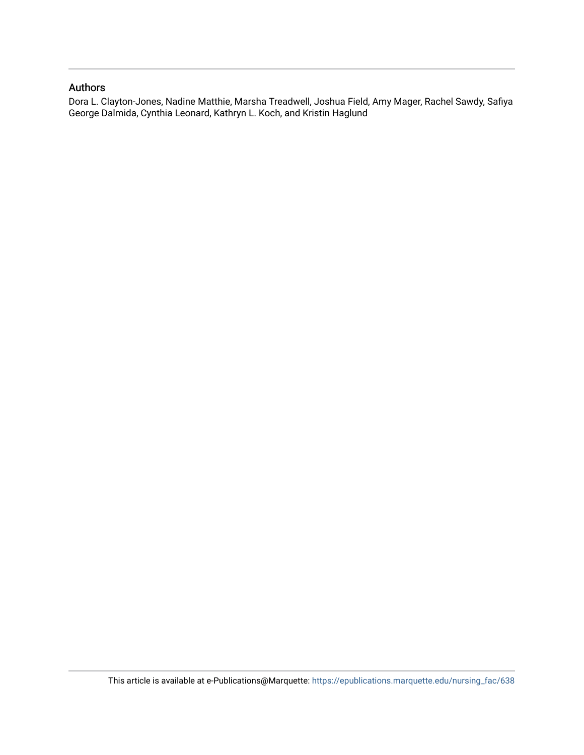#### Authors

Dora L. Clayton-Jones, Nadine Matthie, Marsha Treadwell, Joshua Field, Amy Mager, Rachel Sawdy, Safiya George Dalmida, Cynthia Leonard, Kathryn L. Koch, and Kristin Haglund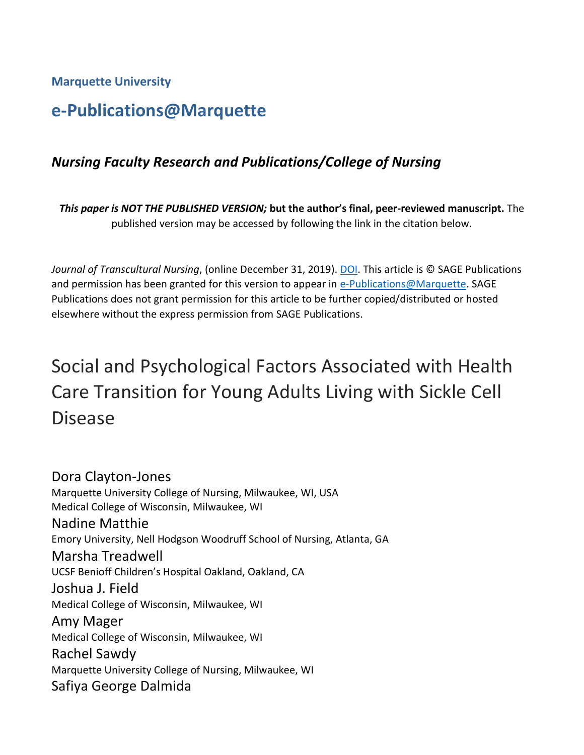**Marquette University**

# **e-Publications@Marquette**

### *Nursing Faculty Research and Publications/College of Nursing*

*This paper is NOT THE PUBLISHED VERSION;* **but the author's final, peer-reviewed manuscript.** The published version may be accessed by following the link in the citation below.

*Journal of Transcultural Nursing*, (online December 31, 2019). [DOI.](https://doi.org/10.1177%2F1043659619896837) This article is © SAGE Publications and permission has been granted for this version to appear in [e-Publications@Marquette.](http://epublications.marquette.edu/) SAGE Publications does not grant permission for this article to be further copied/distributed or hosted elsewhere without the express permission from SAGE Publications.

# Social and Psychological Factors Associated with Health Care Transition for Young Adults Living with Sickle Cell Disease

Dora Clayton-Jones Marquette University College of Nursing, Milwaukee, WI, USA Medical College of Wisconsin, Milwaukee, WI Nadine Matthie Emory University, Nell Hodgson Woodruff School of Nursing, Atlanta, GA Marsha Treadwell UCSF Benioff Children's Hospital Oakland, Oakland, CA Joshua J. Field Medical College of Wisconsin, Milwaukee, WI Amy Mager Medical College of Wisconsin, Milwaukee, WI Rachel Sawdy Marquette University College of Nursing, Milwaukee, WI Safiya George Dalmida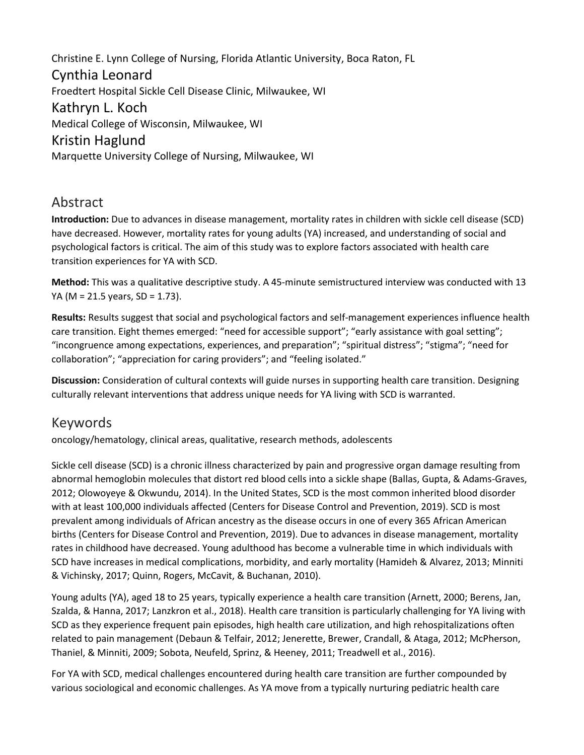Christine E. Lynn College of Nursing, Florida Atlantic University, Boca Raton, FL Cynthia Leonard Froedtert Hospital Sickle Cell Disease Clinic, Milwaukee, WI Kathryn L. Koch Medical College of Wisconsin, Milwaukee, WI Kristin Haglund Marquette University College of Nursing, Milwaukee, WI

### Abstract

**Introduction:** Due to advances in disease management, mortality rates in children with sickle cell disease (SCD) have decreased. However, mortality rates for young adults (YA) increased, and understanding of social and psychological factors is critical. The aim of this study was to explore factors associated with health care transition experiences for YA with SCD.

**Method:** This was a qualitative descriptive study. A 45-minute semistructured interview was conducted with 13 YA (M = 21.5 years, SD = 1.73).

**Results:** Results suggest that social and psychological factors and self-management experiences influence health care transition. Eight themes emerged: "need for accessible support"; "early assistance with goal setting"; "incongruence among expectations, experiences, and preparation"; "spiritual distress"; "stigma"; "need for collaboration"; "appreciation for caring providers"; and "feeling isolated."

**Discussion:** Consideration of cultural contexts will guide nurses in supporting health care transition. Designing culturally relevant interventions that address unique needs for YA living with SCD is warranted.

### Keywords

oncology/hematology, clinical areas, qualitative, research methods, adolescents

Sickle cell disease (SCD) is a chronic illness characterized by pain and progressive organ damage resulting from abnormal hemoglobin molecules that distort red blood cells into a sickle shape (Ballas, Gupta, & Adams-Graves, 2012; Olowoyeye & Okwundu, 2014). In the United States, SCD is the most common inherited blood disorder with at least 100,000 individuals affected (Centers for Disease Control and Prevention, 2019). SCD is most prevalent among individuals of African ancestry as the disease occurs in one of every 365 African American births (Centers for Disease Control and Prevention, 2019). Due to advances in disease management, mortality rates in childhood have decreased. Young adulthood has become a vulnerable time in which individuals with SCD have increases in medical complications, morbidity, and early mortality (Hamideh & Alvarez, 2013; Minniti & Vichinsky, 2017; Quinn, Rogers, McCavit, & Buchanan, 2010).

Young adults (YA), aged 18 to 25 years, typically experience a health care transition (Arnett, 2000; Berens, Jan, Szalda, & Hanna, 2017; Lanzkron et al., 2018). Health care transition is particularly challenging for YA living with SCD as they experience frequent pain episodes, high health care utilization, and high rehospitalizations often related to pain management (Debaun & Telfair, 2012; Jenerette, Brewer, Crandall, & Ataga, 2012; McPherson, Thaniel, & Minniti, 2009; Sobota, Neufeld, Sprinz, & Heeney, 2011; Treadwell et al., 2016).

For YA with SCD, medical challenges encountered during health care transition are further compounded by various sociological and economic challenges. As YA move from a typically nurturing pediatric health care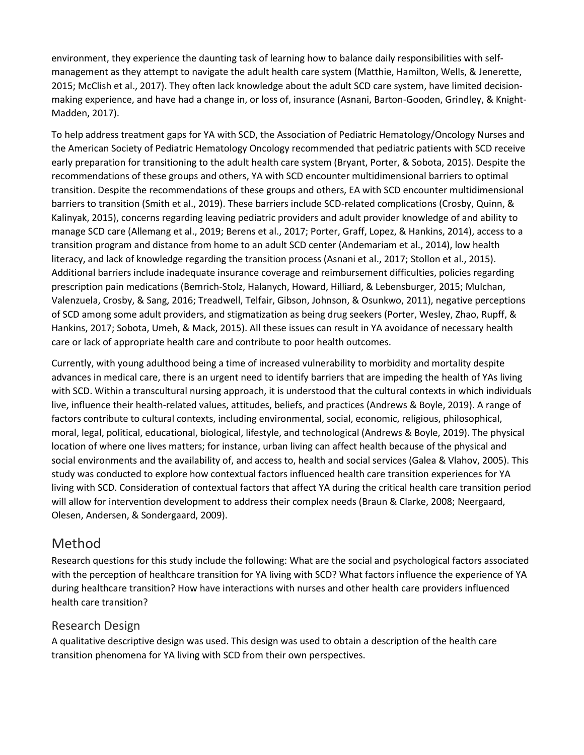environment, they experience the daunting task of learning how to balance daily responsibilities with selfmanagement as they attempt to navigate the adult health care system (Matthie, Hamilton, Wells, & Jenerette, 2015; McClish et al., 2017). They often lack knowledge about the adult SCD care system, have limited decisionmaking experience, and have had a change in, or loss of, insurance (Asnani, Barton-Gooden, Grindley, & Knight-Madden, 2017).

To help address treatment gaps for YA with SCD, the Association of Pediatric Hematology/Oncology Nurses and the American Society of Pediatric Hematology Oncology recommended that pediatric patients with SCD receive early preparation for transitioning to the adult health care system (Bryant, Porter, & Sobota, 2015). Despite the recommendations of these groups and others, YA with SCD encounter multidimensional barriers to optimal transition. Despite the recommendations of these groups and others, EA with SCD encounter multidimensional barriers to transition (Smith et al., 2019). These barriers include SCD-related complications (Crosby, Quinn, & Kalinyak, 2015), concerns regarding leaving pediatric providers and adult provider knowledge of and ability to manage SCD care (Allemang et al., 2019; Berens et al., 2017; Porter, Graff, Lopez, & Hankins, 2014), access to a transition program and distance from home to an adult SCD center (Andemariam et al., 2014), low health literacy, and lack of knowledge regarding the transition process (Asnani et al., 2017; Stollon et al., 2015). Additional barriers include inadequate insurance coverage and reimbursement difficulties, policies regarding prescription pain medications (Bemrich-Stolz, Halanych, Howard, Hilliard, & Lebensburger, 2015; Mulchan, Valenzuela, Crosby, & Sang, 2016; Treadwell, Telfair, Gibson, Johnson, & Osunkwo, 2011), negative perceptions of SCD among some adult providers, and stigmatization as being drug seekers (Porter, Wesley, Zhao, Rupff, & Hankins, 2017; Sobota, Umeh, & Mack, 2015). All these issues can result in YA avoidance of necessary health care or lack of appropriate health care and contribute to poor health outcomes.

Currently, with young adulthood being a time of increased vulnerability to morbidity and mortality despite advances in medical care, there is an urgent need to identify barriers that are impeding the health of YAs living with SCD. Within a transcultural nursing approach, it is understood that the cultural contexts in which individuals live, influence their health-related values, attitudes, beliefs, and practices (Andrews & Boyle, 2019). A range of factors contribute to cultural contexts, including environmental, social, economic, religious, philosophical, moral, legal, political, educational, biological, lifestyle, and technological (Andrews & Boyle, 2019). The physical location of where one lives matters; for instance, urban living can affect health because of the physical and social environments and the availability of, and access to, health and social services (Galea & Vlahov, 2005). This study was conducted to explore how contextual factors influenced health care transition experiences for YA living with SCD. Consideration of contextual factors that affect YA during the critical health care transition period will allow for intervention development to address their complex needs (Braun & Clarke, 2008; Neergaard, Olesen, Andersen, & Sondergaard, 2009).

### Method

Research questions for this study include the following: What are the social and psychological factors associated with the perception of healthcare transition for YA living with SCD? What factors influence the experience of YA during healthcare transition? How have interactions with nurses and other health care providers influenced health care transition?

#### Research Design

A qualitative descriptive design was used. This design was used to obtain a description of the health care transition phenomena for YA living with SCD from their own perspectives.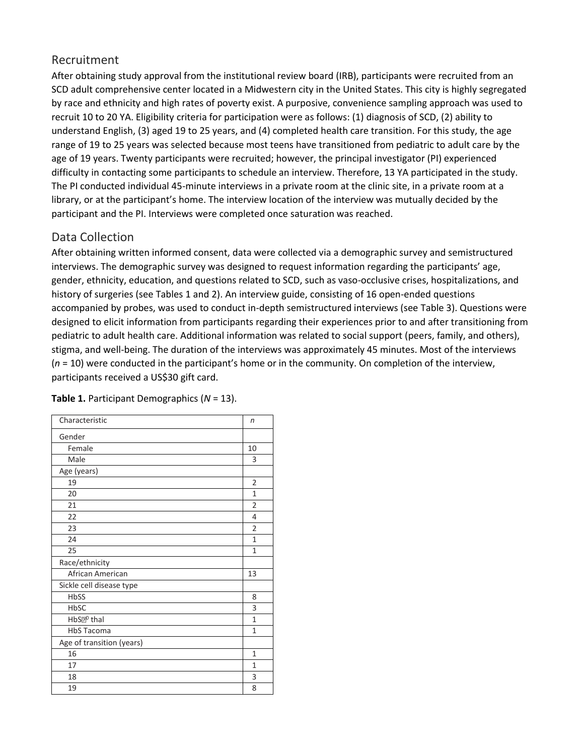#### Recruitment

After obtaining study approval from the institutional review board (IRB), participants were recruited from an SCD adult comprehensive center located in a Midwestern city in the United States. This city is highly segregated by race and ethnicity and high rates of poverty exist. A purposive, convenience sampling approach was used to recruit 10 to 20 YA. Eligibility criteria for participation were as follows: (1) diagnosis of SCD, (2) ability to understand English, (3) aged 19 to 25 years, and (4) completed health care transition. For this study, the age range of 19 to 25 years was selected because most teens have transitioned from pediatric to adult care by the age of 19 years. Twenty participants were recruited; however, the principal investigator (PI) experienced difficulty in contacting some participants to schedule an interview. Therefore, 13 YA participated in the study. The PI conducted individual 45-minute interviews in a private room at the clinic site, in a private room at a library, or at the participant's home. The interview location of the interview was mutually decided by the participant and the PI. Interviews were completed once saturation was reached.

### Data Collection

After obtaining written informed consent, data were collected via a demographic survey and semistructured interviews. The demographic survey was designed to request information regarding the participants' age, gender, ethnicity, education, and questions related to SCD, such as vaso-occlusive crises, hospitalizations, and history of surgeries (see Tables 1 and 2). An interview guide, consisting of 16 open-ended questions accompanied by probes, was used to conduct in-depth semistructured interviews (see Table 3). Questions were designed to elicit information from participants regarding their experiences prior to and after transitioning from pediatric to adult health care. Additional information was related to social support (peers, family, and others), stigma, and well-being. The duration of the interviews was approximately 45 minutes. Most of the interviews (*n* = 10) were conducted in the participant's home or in the community. On completion of the interview, participants received a US\$30 gift card.

| Characteristic            | n              |
|---------------------------|----------------|
| Gender                    |                |
| Female                    | 10             |
| Male                      | 3              |
| Age (years)               |                |
| 19                        | 2              |
| 20                        | $\mathbf{1}$   |
| 21                        | 2              |
| 22                        | 4              |
| 23                        | $\overline{2}$ |
| 24                        | $\mathbf{1}$   |
| 25                        | $\mathbf{1}$   |
| Race/ethnicity            |                |
| African American          | 13             |
| Sickle cell disease type  |                |
| HbSS                      | 8              |
| HbSC                      | 3              |
| HbS <sup>po</sup> thal    | $\mathbf{1}$   |
| <b>HbS Tacoma</b>         | $\mathbf{1}$   |
| Age of transition (years) |                |
| 16                        | $\mathbf{1}$   |
| 17                        | $\mathbf{1}$   |
| 18                        | 3              |
| 19                        | 8              |

#### **Table 1.** Participant Demographics (*N* = 13).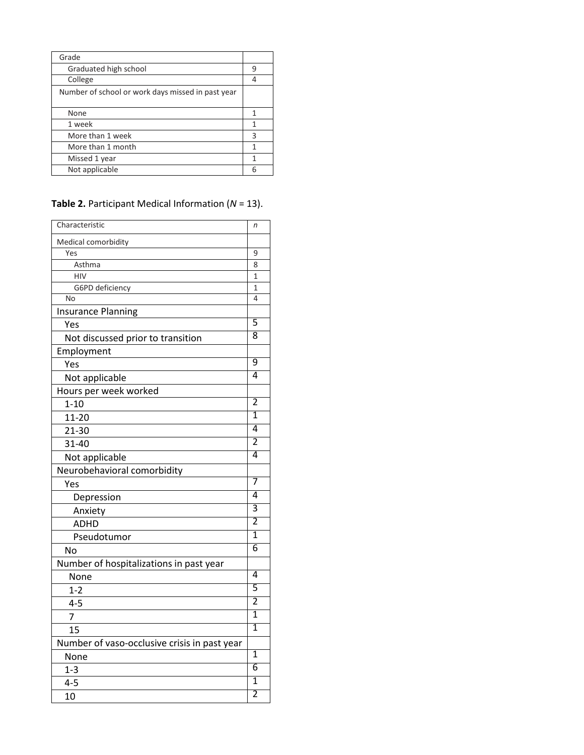| Grade                                             |   |
|---------------------------------------------------|---|
| Graduated high school                             | q |
| College                                           |   |
| Number of school or work days missed in past year |   |
|                                                   |   |
| None                                              |   |
| 1 week                                            | 1 |
| More than 1 week                                  | 3 |
| More than 1 month                                 | 1 |
| Missed 1 year                                     | 1 |
| Not applicable                                    |   |

**Table 2.** Participant Medical Information (*N* = 13).

| Characteristic                               | n              |
|----------------------------------------------|----------------|
| Medical comorbidity                          |                |
| Yes                                          | 9              |
| Asthma                                       | 8              |
| <b>HIV</b>                                   | 1              |
| G6PD deficiency                              | 1              |
| No                                           | 4              |
| <b>Insurance Planning</b>                    |                |
| Yes                                          | 5              |
| Not discussed prior to transition            | 8              |
| Employment                                   |                |
| Yes                                          | $\overline{9}$ |
| Not applicable                               | 4              |
| Hours per week worked                        |                |
| $1 - 10$                                     | 2              |
| $11 - 20$                                    | ī              |
| $21 - 30$                                    | 4              |
| 31-40                                        | 2              |
| Not applicable                               | 4              |
| Neurobehavioral comorbidity                  |                |
| Yes                                          | 7              |
| Depression                                   | 4              |
| Anxiety                                      | 3              |
| ADHD                                         | $\overline{2}$ |
| Pseudotumor                                  | 1              |
| No                                           | 6              |
| Number of hospitalizations in past year      |                |
| None                                         | 4              |
| $1 - 2$                                      | 5              |
| $4 - 5$                                      | $\overline{2}$ |
| $\overline{7}$                               | 1              |
| 15                                           | $\overline{1}$ |
| Number of vaso-occlusive crisis in past year |                |
| None                                         | $\overline{1}$ |
| $1 - 3$                                      | 6              |
| $4 - 5$                                      | 1              |
| 10                                           | 2              |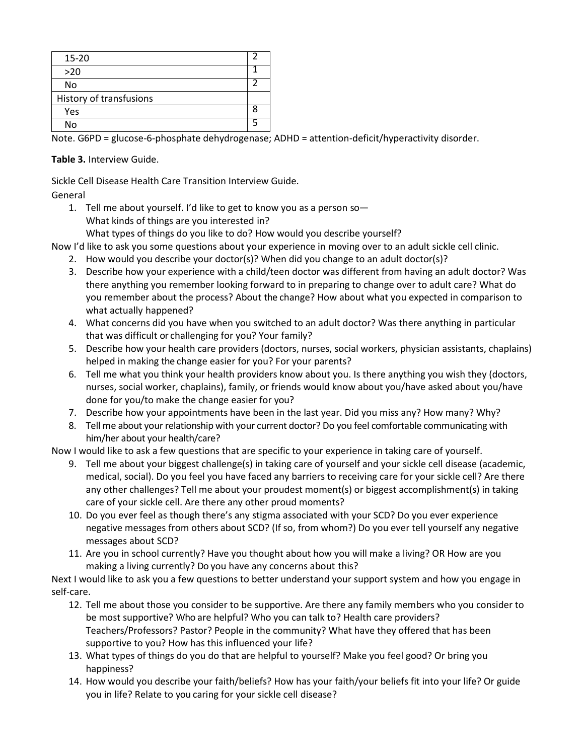| $15 - 20$               |  |
|-------------------------|--|
| $>20$                   |  |
| No                      |  |
| History of transfusions |  |
| Yes                     |  |
| No                      |  |

Note. G6PD = glucose-6-phosphate dehydrogenase; ADHD = attention-deficit/hyperactivity disorder.

#### **Table 3.** Interview Guide.

Sickle Cell Disease Health Care Transition Interview Guide.

General

- 1. Tell me about yourself. I'd like to get to know you as a person so— What kinds of things are you interested in?
	- What types of things do you like to do? How would you describe yourself?

Now I'd like to ask you some questions about your experience in moving over to an adult sickle cell clinic.

- 2. How would you describe your doctor(s)? When did you change to an adult doctor(s)?
- 3. Describe how your experience with a child/teen doctor was different from having an adult doctor? Was there anything you remember looking forward to in preparing to change over to adult care? What do you remember about the process? About the change? How about what you expected in comparison to what actually happened?
- 4. What concerns did you have when you switched to an adult doctor? Was there anything in particular that was difficult or challenging for you? Your family?
- 5. Describe how your health care providers (doctors, nurses, social workers, physician assistants, chaplains) helped in making the change easier for you? For your parents?
- 6. Tell me what you think your health providers know about you. Is there anything you wish they (doctors, nurses, social worker, chaplains), family, or friends would know about you/have asked about you/have done for you/to make the change easier for you?
- 7. Describe how your appointments have been in the last year. Did you miss any? How many? Why?
- 8. Tell me about your relationship with your current doctor? Do you feel comfortable communicating with him/her about your health/care?

Now I would like to ask a few questions that are specific to your experience in taking care of yourself.

- 9. Tell me about your biggest challenge(s) in taking care of yourself and your sickle cell disease (academic, medical, social). Do you feel you have faced any barriers to receiving care for your sickle cell? Are there any other challenges? Tell me about your proudest moment(s) or biggest accomplishment(s) in taking care of your sickle cell. Are there any other proud moments?
- 10. Do you ever feel as though there's any stigma associated with your SCD? Do you ever experience negative messages from others about SCD? (If so, from whom?) Do you ever tell yourself any negative messages about SCD?
- 11. Are you in school currently? Have you thought about how you will make a living? OR How are you making a living currently? Do you have any concerns about this?

Next I would like to ask you a few questions to better understand your support system and how you engage in self-care.

- 12. Tell me about those you consider to be supportive. Are there any family members who you consider to be most supportive? Who are helpful? Who you can talk to? Health care providers? Teachers/Professors? Pastor? People in the community? What have they offered that has been supportive to you? How has this influenced your life?
- 13. What types of things do you do that are helpful to yourself? Make you feel good? Or bring you happiness?
- 14. How would you describe your faith/beliefs? How has your faith/your beliefs fit into your life? Or guide you in life? Relate to you caring for your sickle cell disease?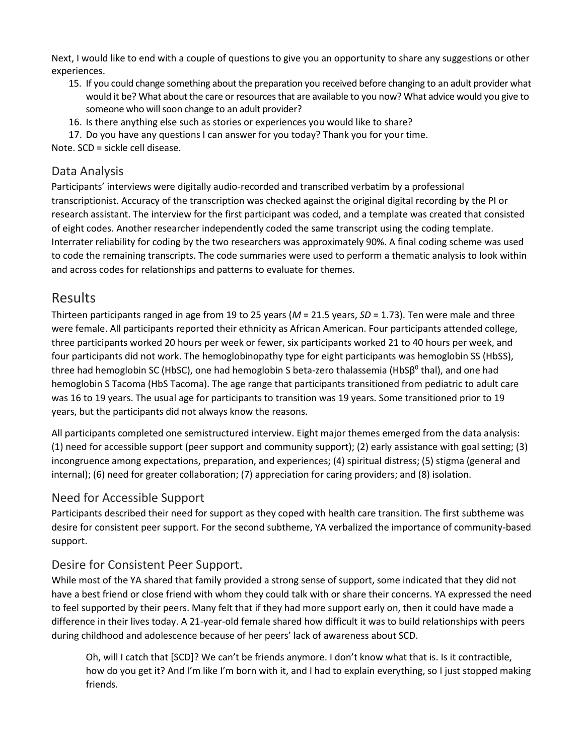Next, I would like to end with a couple of questions to give you an opportunity to share any suggestions or other experiences.

- 15. If you could change something about the preparation you received before changing to an adult provider what would it be? What about the care or resources that are available to you now? What advice would you give to someone who will soon change to an adult provider?
- 16. Is there anything else such as stories or experiences you would like to share?

17. Do you have any questions I can answer for you today? Thank you for your time.

Note. SCD = sickle cell disease.

#### Data Analysis

Participants' interviews were digitally audio-recorded and transcribed verbatim by a professional transcriptionist. Accuracy of the transcription was checked against the original digital recording by the PI or research assistant. The interview for the first participant was coded, and a template was created that consisted of eight codes. Another researcher independently coded the same transcript using the coding template. Interrater reliability for coding by the two researchers was approximately 90%. A final coding scheme was used to code the remaining transcripts. The code summaries were used to perform a thematic analysis to look within and across codes for relationships and patterns to evaluate for themes.

### Results

Thirteen participants ranged in age from 19 to 25 years (*M* = 21.5 years, *SD* = 1.73). Ten were male and three were female. All participants reported their ethnicity as African American. Four participants attended college, three participants worked 20 hours per week or fewer, six participants worked 21 to 40 hours per week, and four participants did not work. The hemoglobinopathy type for eight participants was hemoglobin SS (HbSS), three had hemoglobin SC (HbSC), one had hemoglobin S beta-zero thalassemia (HbS $\beta^0$  thal), and one had hemoglobin S Tacoma (HbS Tacoma). The age range that participants transitioned from pediatric to adult care was 16 to 19 years. The usual age for participants to transition was 19 years. Some transitioned prior to 19 years, but the participants did not always know the reasons.

All participants completed one semistructured interview. Eight major themes emerged from the data analysis: (1) need for accessible support (peer support and community support); (2) early assistance with goal setting; (3) incongruence among expectations, preparation, and experiences; (4) spiritual distress; (5) stigma (general and internal); (6) need for greater collaboration; (7) appreciation for caring providers; and (8) isolation.

#### Need for Accessible Support

Participants described their need for support as they coped with health care transition. The first subtheme was desire for consistent peer support. For the second subtheme, YA verbalized the importance of community-based support.

#### Desire for Consistent Peer Support.

While most of the YA shared that family provided a strong sense of support, some indicated that they did not have a best friend or close friend with whom they could talk with or share their concerns. YA expressed the need to feel supported by their peers. Many felt that if they had more support early on, then it could have made a difference in their lives today. A 21-year-old female shared how difficult it was to build relationships with peers during childhood and adolescence because of her peers' lack of awareness about SCD.

Oh, will I catch that [SCD]? We can't be friends anymore. I don't know what that is. Is it contractible, how do you get it? And I'm like I'm born with it, and I had to explain everything, so I just stopped making friends.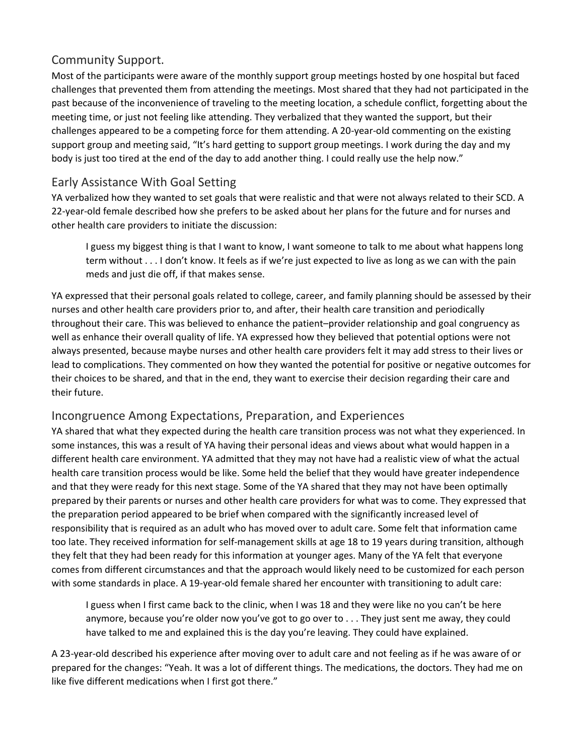#### Community Support.

Most of the participants were aware of the monthly support group meetings hosted by one hospital but faced challenges that prevented them from attending the meetings. Most shared that they had not participated in the past because of the inconvenience of traveling to the meeting location, a schedule conflict, forgetting about the meeting time, or just not feeling like attending. They verbalized that they wanted the support, but their challenges appeared to be a competing force for them attending. A 20-year-old commenting on the existing support group and meeting said, "It's hard getting to support group meetings. I work during the day and my body is just too tired at the end of the day to add another thing. I could really use the help now."

### Early Assistance With Goal Setting

YA verbalized how they wanted to set goals that were realistic and that were not always related to their SCD. A 22-year-old female described how she prefers to be asked about her plans for the future and for nurses and other health care providers to initiate the discussion:

I guess my biggest thing is that I want to know, I want someone to talk to me about what happens long term without . . . I don't know. It feels as if we're just expected to live as long as we can with the pain meds and just die off, if that makes sense.

YA expressed that their personal goals related to college, career, and family planning should be assessed by their nurses and other health care providers prior to, and after, their health care transition and periodically throughout their care. This was believed to enhance the patient–provider relationship and goal congruency as well as enhance their overall quality of life. YA expressed how they believed that potential options were not always presented, because maybe nurses and other health care providers felt it may add stress to their lives or lead to complications. They commented on how they wanted the potential for positive or negative outcomes for their choices to be shared, and that in the end, they want to exercise their decision regarding their care and their future.

#### Incongruence Among Expectations, Preparation, and Experiences

YA shared that what they expected during the health care transition process was not what they experienced. In some instances, this was a result of YA having their personal ideas and views about what would happen in a different health care environment. YA admitted that they may not have had a realistic view of what the actual health care transition process would be like. Some held the belief that they would have greater independence and that they were ready for this next stage. Some of the YA shared that they may not have been optimally prepared by their parents or nurses and other health care providers for what was to come. They expressed that the preparation period appeared to be brief when compared with the significantly increased level of responsibility that is required as an adult who has moved over to adult care. Some felt that information came too late. They received information for self-management skills at age 18 to 19 years during transition, although they felt that they had been ready for this information at younger ages. Many of the YA felt that everyone comes from different circumstances and that the approach would likely need to be customized for each person with some standards in place. A 19-year-old female shared her encounter with transitioning to adult care:

I guess when I first came back to the clinic, when I was 18 and they were like no you can't be here anymore, because you're older now you've got to go over to . . . They just sent me away, they could have talked to me and explained this is the day you're leaving. They could have explained.

A 23-year-old described his experience after moving over to adult care and not feeling as if he was aware of or prepared for the changes: "Yeah. It was a lot of different things. The medications, the doctors. They had me on like five different medications when I first got there."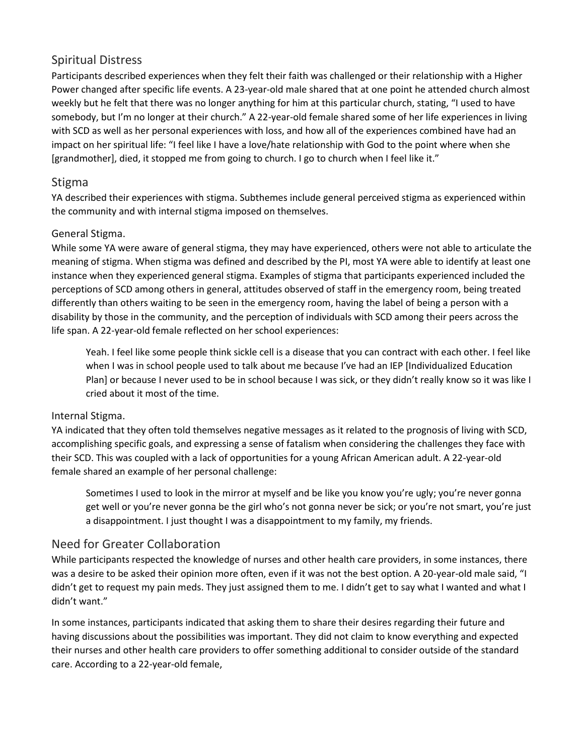#### Spiritual Distress

Participants described experiences when they felt their faith was challenged or their relationship with a Higher Power changed after specific life events. A 23-year-old male shared that at one point he attended church almost weekly but he felt that there was no longer anything for him at this particular church, stating, "I used to have somebody, but I'm no longer at their church." A 22-year-old female shared some of her life experiences in living with SCD as well as her personal experiences with loss, and how all of the experiences combined have had an impact on her spiritual life: "I feel like I have a love/hate relationship with God to the point where when she [grandmother], died, it stopped me from going to church. I go to church when I feel like it."

#### Stigma

YA described their experiences with stigma. Subthemes include general perceived stigma as experienced within the community and with internal stigma imposed on themselves.

#### General Stigma.

While some YA were aware of general stigma, they may have experienced, others were not able to articulate the meaning of stigma. When stigma was defined and described by the PI, most YA were able to identify at least one instance when they experienced general stigma. Examples of stigma that participants experienced included the perceptions of SCD among others in general, attitudes observed of staff in the emergency room, being treated differently than others waiting to be seen in the emergency room, having the label of being a person with a disability by those in the community, and the perception of individuals with SCD among their peers across the life span. A 22-year-old female reflected on her school experiences:

Yeah. I feel like some people think sickle cell is a disease that you can contract with each other. I feel like when I was in school people used to talk about me because I've had an IEP [Individualized Education Plan] or because I never used to be in school because I was sick, or they didn't really know so it was like I cried about it most of the time.

#### Internal Stigma.

YA indicated that they often told themselves negative messages as it related to the prognosis of living with SCD, accomplishing specific goals, and expressing a sense of fatalism when considering the challenges they face with their SCD. This was coupled with a lack of opportunities for a young African American adult. A 22-year-old female shared an example of her personal challenge:

Sometimes I used to look in the mirror at myself and be like you know you're ugly; you're never gonna get well or you're never gonna be the girl who's not gonna never be sick; or you're not smart, you're just a disappointment. I just thought I was a disappointment to my family, my friends.

#### Need for Greater Collaboration

While participants respected the knowledge of nurses and other health care providers, in some instances, there was a desire to be asked their opinion more often, even if it was not the best option. A 20-year-old male said, "I didn't get to request my pain meds. They just assigned them to me. I didn't get to say what I wanted and what I didn't want."

In some instances, participants indicated that asking them to share their desires regarding their future and having discussions about the possibilities was important. They did not claim to know everything and expected their nurses and other health care providers to offer something additional to consider outside of the standard care. According to a 22-year-old female,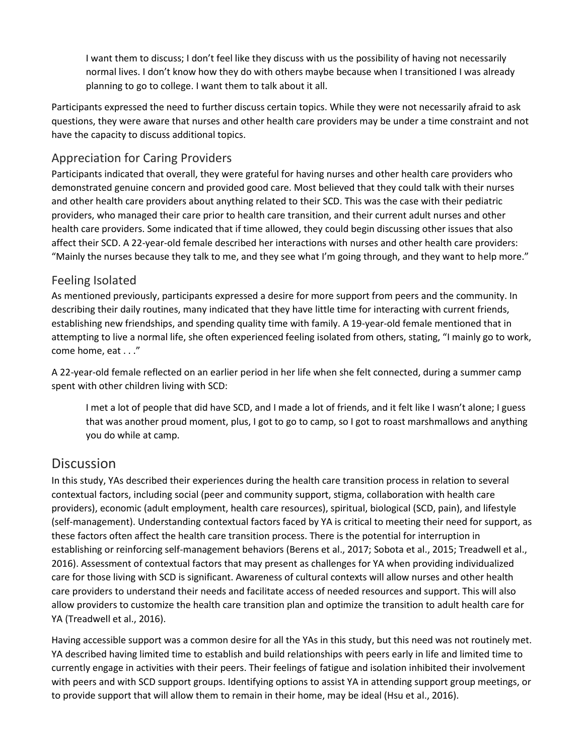I want them to discuss; I don't feel like they discuss with us the possibility of having not necessarily normal lives. I don't know how they do with others maybe because when I transitioned I was already planning to go to college. I want them to talk about it all.

Participants expressed the need to further discuss certain topics. While they were not necessarily afraid to ask questions, they were aware that nurses and other health care providers may be under a time constraint and not have the capacity to discuss additional topics.

#### Appreciation for Caring Providers

Participants indicated that overall, they were grateful for having nurses and other health care providers who demonstrated genuine concern and provided good care. Most believed that they could talk with their nurses and other health care providers about anything related to their SCD. This was the case with their pediatric providers, who managed their care prior to health care transition, and their current adult nurses and other health care providers. Some indicated that if time allowed, they could begin discussing other issues that also affect their SCD. A 22-year-old female described her interactions with nurses and other health care providers: "Mainly the nurses because they talk to me, and they see what I'm going through, and they want to help more."

#### Feeling Isolated

As mentioned previously, participants expressed a desire for more support from peers and the community. In describing their daily routines, many indicated that they have little time for interacting with current friends, establishing new friendships, and spending quality time with family. A 19-year-old female mentioned that in attempting to live a normal life, she often experienced feeling isolated from others, stating, "I mainly go to work, come home, eat . . ."

A 22-year-old female reflected on an earlier period in her life when she felt connected, during a summer camp spent with other children living with SCD:

I met a lot of people that did have SCD, and I made a lot of friends, and it felt like I wasn't alone; I guess that was another proud moment, plus, I got to go to camp, so I got to roast marshmallows and anything you do while at camp.

### **Discussion**

In this study, YAs described their experiences during the health care transition process in relation to several contextual factors, including social (peer and community support, stigma, collaboration with health care providers), economic (adult employment, health care resources), spiritual, biological (SCD, pain), and lifestyle (self-management). Understanding contextual factors faced by YA is critical to meeting their need for support, as these factors often affect the health care transition process. There is the potential for interruption in establishing or reinforcing self-management behaviors (Berens et al., 2017; Sobota et al., 2015; Treadwell et al., 2016). Assessment of contextual factors that may present as challenges for YA when providing individualized care for those living with SCD is significant. Awareness of cultural contexts will allow nurses and other health care providers to understand their needs and facilitate access of needed resources and support. This will also allow providers to customize the health care transition plan and optimize the transition to adult health care for YA (Treadwell et al., 2016).

Having accessible support was a common desire for all the YAs in this study, but this need was not routinely met. YA described having limited time to establish and build relationships with peers early in life and limited time to currently engage in activities with their peers. Their feelings of fatigue and isolation inhibited their involvement with peers and with SCD support groups. Identifying options to assist YA in attending support group meetings, or to provide support that will allow them to remain in their home, may be ideal (Hsu et al., 2016).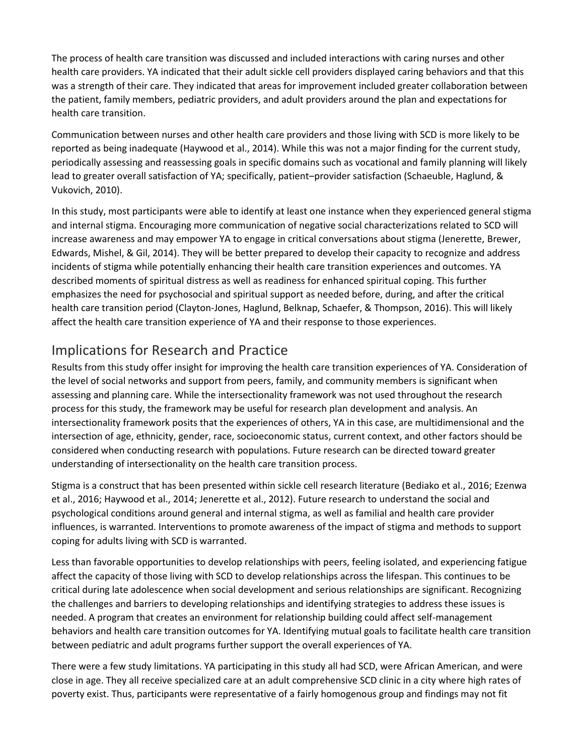The process of health care transition was discussed and included interactions with caring nurses and other health care providers. YA indicated that their adult sickle cell providers displayed caring behaviors and that this was a strength of their care. They indicated that areas for improvement included greater collaboration between the patient, family members, pediatric providers, and adult providers around the plan and expectations for health care transition.

Communication between nurses and other health care providers and those living with SCD is more likely to be reported as being inadequate (Haywood et al., 2014). While this was not a major finding for the current study, periodically assessing and reassessing goals in specific domains such as vocational and family planning will likely lead to greater overall satisfaction of YA; specifically, patient–provider satisfaction (Schaeuble, Haglund, & Vukovich, 2010).

In this study, most participants were able to identify at least one instance when they experienced general stigma and internal stigma. Encouraging more communication of negative social characterizations related to SCD will increase awareness and may empower YA to engage in critical conversations about stigma (Jenerette, Brewer, Edwards, Mishel, & Gil, 2014). They will be better prepared to develop their capacity to recognize and address incidents of stigma while potentially enhancing their health care transition experiences and outcomes. YA described moments of spiritual distress as well as readiness for enhanced spiritual coping. This further emphasizes the need for psychosocial and spiritual support as needed before, during, and after the critical health care transition period (Clayton-Jones, Haglund, Belknap, Schaefer, & Thompson, 2016). This will likely affect the health care transition experience of YA and their response to those experiences.

### Implications for Research and Practice

Results from this study offer insight for improving the health care transition experiences of YA. Consideration of the level of social networks and support from peers, family, and community members is significant when assessing and planning care. While the intersectionality framework was not used throughout the research process for this study, the framework may be useful for research plan development and analysis. An intersectionality framework posits that the experiences of others, YA in this case, are multidimensional and the intersection of age, ethnicity, gender, race, socioeconomic status, current context, and other factors should be considered when conducting research with populations. Future research can be directed toward greater understanding of intersectionality on the health care transition process.

Stigma is a construct that has been presented within sickle cell research literature (Bediako et al., 2016; Ezenwa et al., 2016; Haywood et al., 2014; Jenerette et al., 2012). Future research to understand the social and psychological conditions around general and internal stigma, as well as familial and health care provider influences, is warranted. Interventions to promote awareness of the impact of stigma and methods to support coping for adults living with SCD is warranted.

Less than favorable opportunities to develop relationships with peers, feeling isolated, and experiencing fatigue affect the capacity of those living with SCD to develop relationships across the lifespan. This continues to be critical during late adolescence when social development and serious relationships are significant. Recognizing the challenges and barriers to developing relationships and identifying strategies to address these issues is needed. A program that creates an environment for relationship building could affect self-management behaviors and health care transition outcomes for YA. Identifying mutual goals to facilitate health care transition between pediatric and adult programs further support the overall experiences of YA.

There were a few study limitations. YA participating in this study all had SCD, were African American, and were close in age. They all receive specialized care at an adult comprehensive SCD clinic in a city where high rates of poverty exist. Thus, participants were representative of a fairly homogenous group and findings may not fit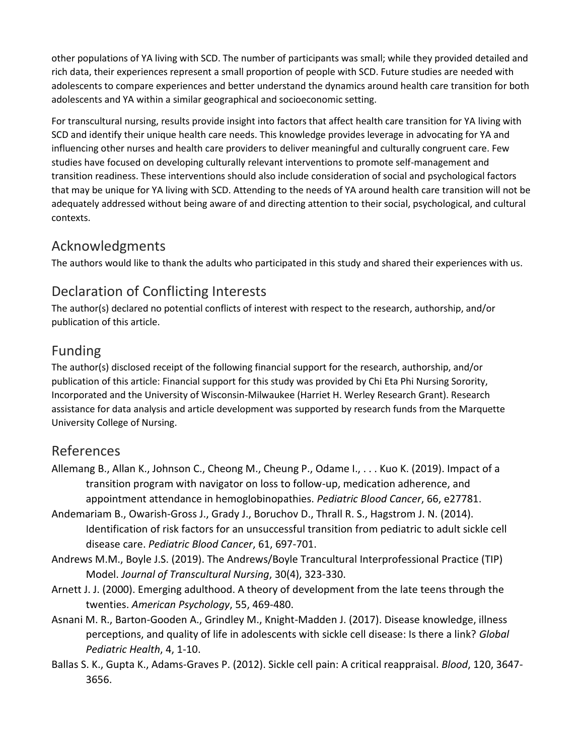other populations of YA living with SCD. The number of participants was small; while they provided detailed and rich data, their experiences represent a small proportion of people with SCD. Future studies are needed with adolescents to compare experiences and better understand the dynamics around health care transition for both adolescents and YA within a similar geographical and socioeconomic setting.

For transcultural nursing, results provide insight into factors that affect health care transition for YA living with SCD and identify their unique health care needs. This knowledge provides leverage in advocating for YA and influencing other nurses and health care providers to deliver meaningful and culturally congruent care. Few studies have focused on developing culturally relevant interventions to promote self-management and transition readiness. These interventions should also include consideration of social and psychological factors that may be unique for YA living with SCD. Attending to the needs of YA around health care transition will not be adequately addressed without being aware of and directing attention to their social, psychological, and cultural contexts.

### Acknowledgments

The authors would like to thank the adults who participated in this study and shared their experiences with us.

## Declaration of Conflicting Interests

The author(s) declared no potential conflicts of interest with respect to the research, authorship, and/or publication of this article.

### Funding

The author(s) disclosed receipt of the following financial support for the research, authorship, and/or publication of this article: Financial support for this study was provided by Chi Eta Phi Nursing Sorority, Incorporated and the University of Wisconsin-Milwaukee (Harriet H. Werley Research Grant). Research assistance for data analysis and article development was supported by research funds from the Marquette University College of Nursing.

### References

- Allemang B., Allan K., Johnson C., Cheong M., Cheung P., Odame I., . . . Kuo K. (2019). Impact of a transition program with navigator on loss to follow-up, medication adherence, and appointment attendance in hemoglobinopathies. *Pediatric Blood Cancer*, 66, e27781.
- Andemariam B., Owarish-Gross J., Grady J., Boruchov D., Thrall R. S., Hagstrom J. N. (2014). Identification of risk factors for an unsuccessful transition from pediatric to adult sickle cell disease care. *Pediatric Blood Cancer*, 61, 697-701.
- Andrews M.M., Boyle J.S. (2019). The Andrews/Boyle Trancultural Interprofessional Practice (TIP) Model. *Journal of Transcultural Nursing*, 30(4), 323-330.
- Arnett J. J. (2000). Emerging adulthood. A theory of development from the late teens through the twenties. *American Psychology*, 55, 469-480.
- Asnani M. R., Barton-Gooden A., Grindley M., Knight-Madden J. (2017). Disease knowledge, illness perceptions, and quality of life in adolescents with sickle cell disease: Is there a link? *Global Pediatric Health*, 4, 1-10.
- Ballas S. K., Gupta K., Adams-Graves P. (2012). Sickle cell pain: A critical reappraisal. *Blood*, 120, 3647- 3656.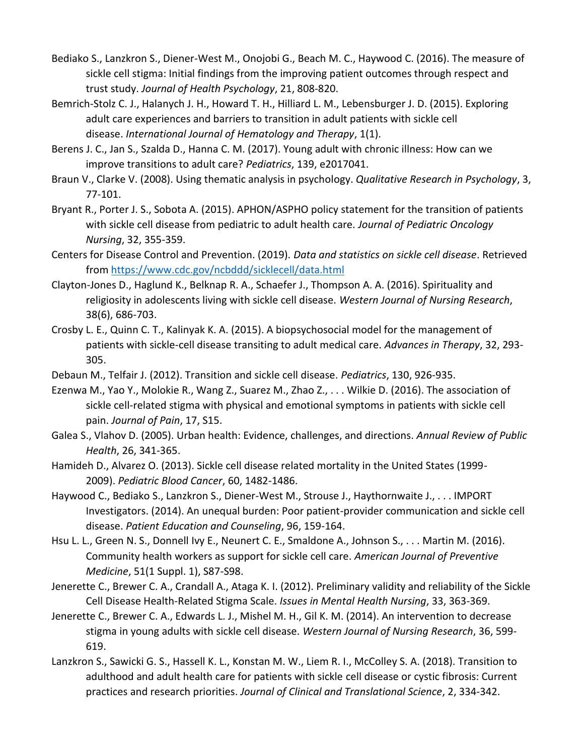- Bediako S., Lanzkron S., Diener-West M., Onojobi G., Beach M. C., Haywood C. (2016). The measure of sickle cell stigma: Initial findings from the improving patient outcomes through respect and trust study. *Journal of Health Psychology*, 21, 808-820.
- Bemrich-Stolz C. J., Halanych J. H., Howard T. H., Hilliard L. M., Lebensburger J. D. (2015). Exploring adult care experiences and barriers to transition in adult patients with sickle cell disease. *International Journal of Hematology and Therapy*, 1(1).
- Berens J. C., Jan S., Szalda D., Hanna C. M. (2017). Young adult with chronic illness: How can we improve transitions to adult care? *Pediatrics*, 139, e2017041.
- Braun V., Clarke V. (2008). Using thematic analysis in psychology. *Qualitative Research in Psychology*, 3, 77-101.
- Bryant R., Porter J. S., Sobota A. (2015). APHON/ASPHO policy statement for the transition of patients with sickle cell disease from pediatric to adult health care. *Journal of Pediatric Oncology Nursing*, 32, 355-359.
- Centers for Disease Control and Prevention. (2019). *Data and statistics on sickle cell disease*. Retrieved from <https://www.cdc.gov/ncbddd/sicklecell/data.html>
- Clayton-Jones D., Haglund K., Belknap R. A., Schaefer J., Thompson A. A. (2016). Spirituality and religiosity in adolescents living with sickle cell disease. *Western Journal of Nursing Research*, 38(6), 686-703.
- Crosby L. E., Quinn C. T., Kalinyak K. A. (2015). A biopsychosocial model for the management of patients with sickle-cell disease transiting to adult medical care. *Advances in Therapy*, 32, 293- 305.
- Debaun M., Telfair J. (2012). Transition and sickle cell disease. *Pediatrics*, 130, 926-935.
- Ezenwa M., Yao Y., Molokie R., Wang Z., Suarez M., Zhao Z., . . . Wilkie D. (2016). The association of sickle cell-related stigma with physical and emotional symptoms in patients with sickle cell pain. *Journal of Pain*, 17, S15.
- Galea S., Vlahov D. (2005). Urban health: Evidence, challenges, and directions. *Annual Review of Public Health*, 26, 341-365.
- Hamideh D., Alvarez O. (2013). Sickle cell disease related mortality in the United States (1999- 2009). *Pediatric Blood Cancer*, 60, 1482-1486.
- Haywood C., Bediako S., Lanzkron S., Diener-West M., Strouse J., Haythornwaite J., . . . IMPORT Investigators. (2014). An unequal burden: Poor patient-provider communication and sickle cell disease. *Patient Education and Counseling*, 96, 159-164.
- Hsu L. L., Green N. S., Donnell Ivy E., Neunert C. E., Smaldone A., Johnson S., . . . Martin M. (2016). Community health workers as support for sickle cell care. *American Journal of Preventive Medicine*, 51(1 Suppl. 1), S87-S98.
- Jenerette C., Brewer C. A., Crandall A., Ataga K. I. (2012). Preliminary validity and reliability of the Sickle Cell Disease Health-Related Stigma Scale. *Issues in Mental Health Nursing*, 33, 363-369.
- Jenerette C., Brewer C. A., Edwards L. J., Mishel M. H., Gil K. M. (2014). An intervention to decrease stigma in young adults with sickle cell disease. *Western Journal of Nursing Research*, 36, 599- 619.
- Lanzkron S., Sawicki G. S., Hassell K. L., Konstan M. W., Liem R. I., McColley S. A. (2018). Transition to adulthood and adult health care for patients with sickle cell disease or cystic fibrosis: Current practices and research priorities. *Journal of Clinical and Translational Science*, 2, 334-342.